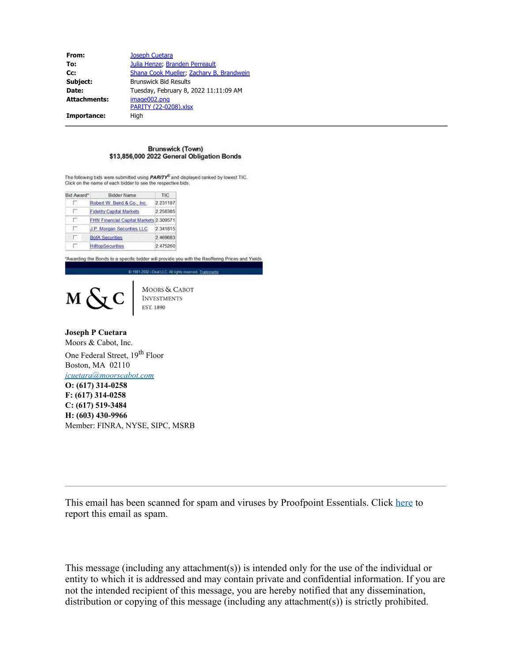| From:               | <b>Joseph Cuetara</b>                    |  |  |
|---------------------|------------------------------------------|--|--|
| To:                 | Julia Henze; Branden Perreault           |  |  |
| Cc:                 | Shana Cook Mueller, Zachary B. Brandwein |  |  |
| Subject:            | <b>Brunswick Bid Results</b>             |  |  |
| Date:               | Tuesday, February 8, 2022 11:11:09 AM    |  |  |
| <b>Attachments:</b> | image002.png<br>PARITY (22-0208).xlsx    |  |  |
| Importance:         | High                                     |  |  |

## **Brunswick (Town)** \$13,856,000 2022 General Obligation Bonds

The following bids were submitted using PARITY® and displayed ranked by lowest TIC. Click on the name of each bidder to see the respective bids

| Bid Award* | Bidder Name                            | <b>TIC</b> |
|------------|----------------------------------------|------------|
| Е          | Robert W. Baird & Co., Inc.            | 2 231197   |
| п          | <b>Fidelity Capital Markets</b>        | 2 258385   |
| п          | FHN Financial Capital Markets 2.309571 |            |
| п          | <b>J.P. Morgan Securities LLC</b>      | 2 341815   |
| п          | <b>BofA Securities</b>                 | 2.469683   |
| п          | <b>HiltopSecurities</b>                | 2.475260   |

"Awarding the Bonds to a specific bidder will provide you with the Reoffering Prices and Yields. C 1981-2002 i-Deal LLC, All rights reserved.



MOORS & CABOT<br>INVESTMENTS<br>EST. 1890

**Joseph P Cuetara** Moors & Cabot, Inc. One Federal Street, 19<sup>th</sup> Floor Boston, MA 02110 *[jcuetara@moorscabot.com](mailto:jcuetara@moorscabot.com)* **O: (617) 314-0258 F: (617) 314-0258 C: (617) 519-3484**

**H: (603) 430-9966** Member: FINRA, NYSE, SIPC, MSRB

This email has been scanned for spam and viruses by Proofpoint Essentials. Click [here](https://us3.proofpointessentials.com/index01.php?mod_id=11&mod_option=logitem&mail_id=1644336667-CXclzwYTaC9Z&r_address=jhenze%40brunswickme.org&report=1) to report this email as spam.

This message (including any attachment(s)) is intended only for the use of the individual or entity to which it is addressed and may contain private and confidential information. If you are not the intended recipient of this message, you are hereby notified that any dissemination, distribution or copying of this message (including any attachment(s)) is strictly prohibited.